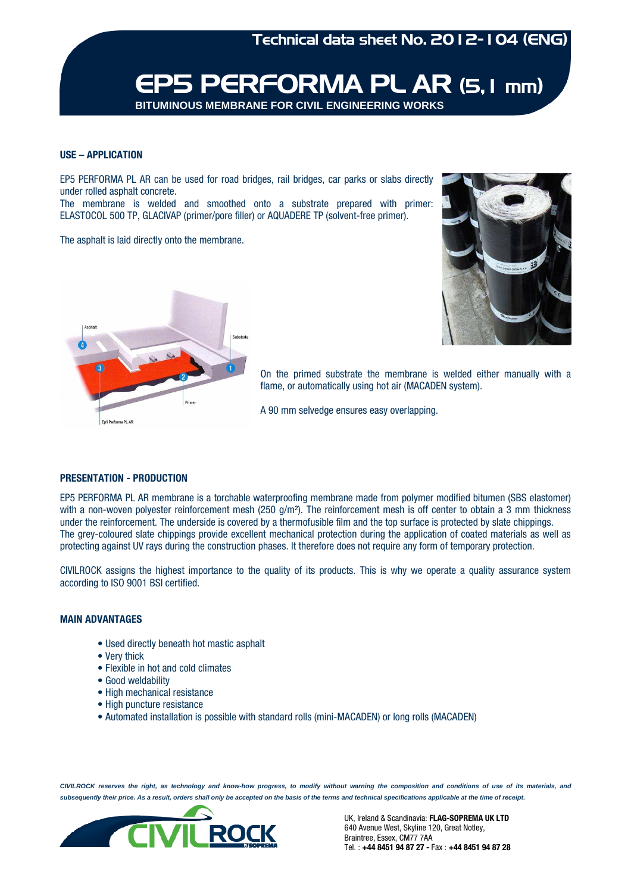

#### **USE – APPLICATION**

EP5 PERFORMA PL AR can be used for road bridges, rail bridges, car parks or slabs directly under rolled asphalt concrete.

The membrane is welded and smoothed onto a substrate prepared with primer: ELASTOCOL 500 TP, GLACIVAP (primer/pore filler) or AQUADERE TP (solvent-free primer).

The asphalt is laid directly onto the membrane.





On the primed substrate the membrane is welded either manually with a flame, or automatically using hot air (MACADEN system).

A 90 mm selvedge ensures easy overlapping.

### **PRESENTATION - PRODUCTION**

EP5 PERFORMA PL AR membrane is a torchable waterproofing membrane made from polymer modified bitumen (SBS elastomer) with a non-woven polyester reinforcement mesh (250  $g/m<sup>2</sup>$ ). The reinforcement mesh is off center to obtain a 3 mm thickness under the reinforcement. The underside is covered by a thermofusible film and the top surface is protected by slate chippings. The grey-coloured slate chippings provide excellent mechanical protection during the application of coated materials as well as protecting against UV rays during the construction phases. It therefore does not require any form of temporary protection.

CIVILROCK assigns the highest importance to the quality of its products. This is why we operate a quality assurance system according to ISO 9001 BSI certified.

## **MAIN ADVANTAGES**

- Used directly beneath hot mastic asphalt
- Very thick
- Flexible in hot and cold climates
- Good weldability
- High mechanical resistance
- High puncture resistance
- Automated installation is possible with standard rolls (mini-MACADEN) or long rolls (MACADEN)

**CIVILROCK reserves the right, as technology and know-how progress, to modify without warning the composition and conditions of use of its materials, and**  subsequently their price. As a result, orders shall only be accepted on the basis of the terms and technical specifications applicable at the time of receipt.



UK, Ireland & Scandinavia: **FLAG-SOPREMA UK LTD** 640 Avenue West, Skyline 120, Great Notley, Braintree, Essex, CM77 7AA Tel. : **+44 8451 94 87 27 -** Fax : **+44 8451 94 87 28**